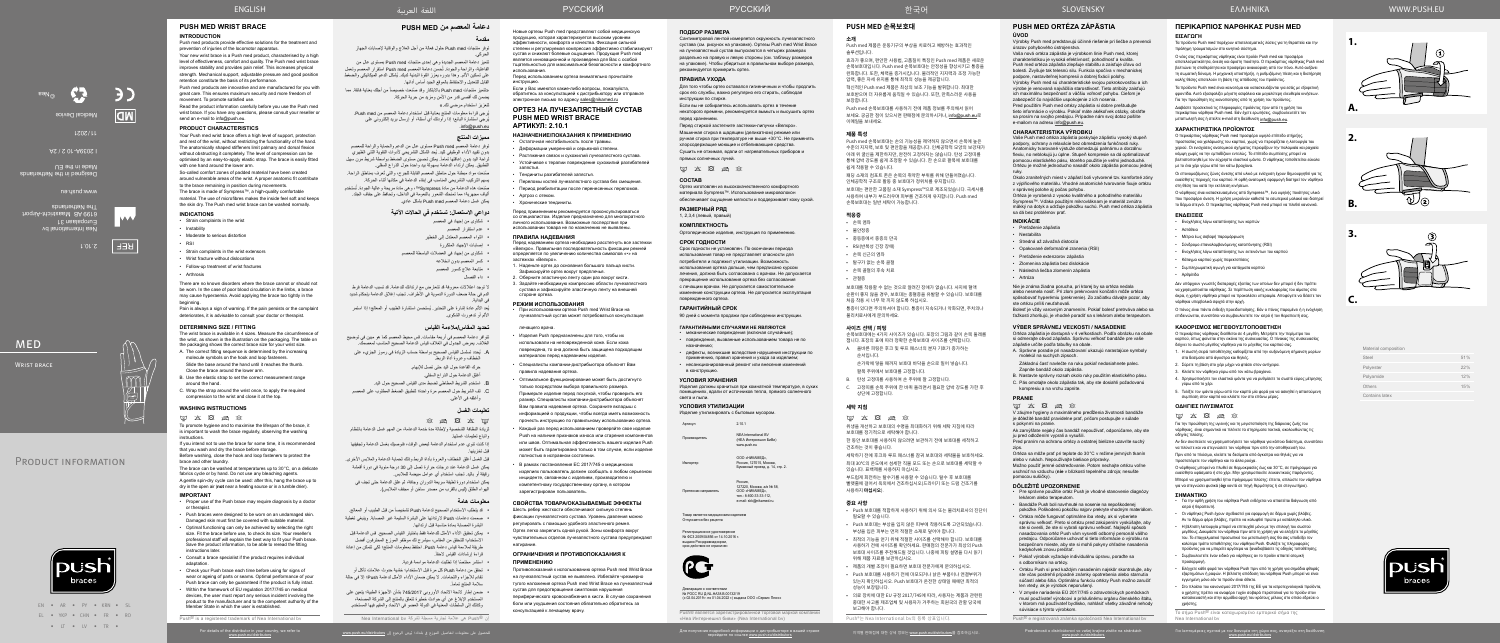**ИНСТЛУКЦИЮ.** 

EN • AR • PY • KRN • SL EL • YKP • CHN • FR • RO • IT • IV • TR •

Nea International bv Europalaan 31 6199 AB Maastricht-Airport The Netherlands

ف

2.10.1

**REF** 

 $\mathbb{m}$  $\left|\frac{\sqrt{2}}{\binom{\text{p}_{\text{c}}\cdot\text{s}}{2}}\right|$ 

www.push.eu

Designed in the Netherlands

**MED** 

WRIST BRACE

Made in the EU

I 2039A-10 2 / 2A

 $LZOZ/IL$ 

Medical Device

 $\mathbf{C}$ 

©Nea

Material composition

| Steel          | 51% |
|----------------|-----|
| Polyester      | 22% |
| Polyamide      | 12% |
| Others         | 15% |
| Contains latex |     |



**3.**

**1.**

**2.**

**A.**

**B.**

**C.**

## **دعامة المعصم من MED PUSH مقدمة**

#### توفر منتجات med Push حلول فعالة من أجل العالج والوقاية إلصابات الجهاز الحركي.

- توفر دعامة المعصم Push med مستوى عالٍ من الدعم والحماية والراحة للمعصم بدون تقييد الأداء الوظيفي لليد. يُحد الشكل التشريحي لأدوات التقوية الثني الظهر ي لراحة اليد بدون إعاقتها تماماً. يمكن تحسين مستوى الضغط بواسطة شريط مرن سهل التطبيق. يمكن ارتداء الدعامة بسهولة بيد واحدة حول الذراع السفلي.
- صُنعت مواد مبطنة حول مناطق المعصم القابلة للجرح، والتي تُعرف بمناطق الراحة. يسهم التركيب التشريحي المناسب في إبقاء الدعامة في مكانها أثناء الحركة.
- صَنعت هذه الدعامة من مادة Sympress™، وهي مادة مريحة وعالية الجودة. تُستخدم ألياف مجهرية؛ مما تمنحك الشعور بالنعومة في الداخل، وتحافظ على جفاف الجلد.
- يمكن غسل دعامة المعصم med Push بشكل عادي.

تتميز دعامة المعصم الجديدة وهي إحدى منتجات med Push ِ بمستوى عال من الفاعلية، والراحة والجودة. تُحسن دعامة المعصم Push med استقرار المعصم وتعمل ُ على تسكين األلم. وهذا بدوره يعزز القوة البدنية لديك. يشكل الدعم الميكانيكي والضغط القابل للتعديل واالحتفاظ بالموقع الجيد أساس أدائها.

«تتميز منتجات Push med بالابتكار وقد صُنعت خصيصاً من أجلك بعناية فائقة. مما يضمن لك أقصى قدر من األمن ومزيد من حرية الحركة. لتعزيز استخدام مرضي لك.»

الدم في حالة ضعف الدورة الدموية في األطراف. تجنب إغالق الدعامة بإحكام شديد في البداية. يُعد الألم عادة إشارة على التحذير. يُستحسن استشارة الطبيب أو المعالج؛ إذا استمر

ُيرجى قراءة معلومات المنتج بعناية قبل استخدام دعامة المعصم من med Push. ُيرجي استشارة البائع؛ إذا راودتك أي أسئلة، أو إرسال بريد إلكتروني على .info@push.eu

> وأغلقه في الأعلى. **تعليمات الغسل**

#### **مميزات المنتج**

قبل الغسل أغلق الخطاف والعروة بأداة الربط وذلك لحماية الدعامة والملابس الأخرى. يمكن غسل الدعامة عند درجات حرارة تصل إلى 30 درجة مئوية في دورة أقمشة

يمكن استخدام دورة لطيفة سريعة الدوران وجافة، ثم علق الدعامة حتى تجف في الهواء الطلق (ليس بالقرب من مصدر ساخن أو مجفف الملابس).

• قد يتطلب الاستخدام الصحيح لدعامة Push تشخيصاً من قبل الطبيب أو المعالج. صممت دعامات Push الرتدائها على البشرة السليمة غير المصابة. وينبغي تغطية

> قراءة إرشادات القياس لاحقاً ً استشر مختصا إذا تطلبت الدعامة مواءمة فردية.

> > سلامة المنتج تماماً.

# **دواعي االستعمال: تستخدم في الحاالت اآلتية**

- شكاوى من إجهاد في المعصم
- عدم استقرار المعصم
- التواء المعصم المعتدل إلى الخطير
- إصابات اإلجهاد المتكررة
- شكاوى من إجهاد في العضالت الباسطة للمعصم
	- كسر المعصم بدون انخالعه
	- متابعة عالج كسور المعصم
	-
- داء الفصال ال توجد اعتالالت معروفة قد تتعارض مع ارتدائك للدعامة. قد تسبب الدعامة فرط

األلم أو تدهورت الشكوى.

Товар является медицинским изделием Отпускается без рецепта

#### **تحديد المقاس/مالءمة القياس**

Декларация о соответствии<br>№ РОСС RU Д-NL.НА38.B.00132/19 (с 02.04.2019 г. по 01.04.2022 г.) выдана ООО «Сервис Плюс»

- تتوافر دعامة المعصم في أربعة مقاسات. قس محيط المعصم كما هو مبين في توضيح الغالف. يعرض الجدول في الغالف قياس الدعامة الصحيح المناسب لمعصمك.
- . ُيحدد تسلسل القياس الصحيح بواسطة حساب الزيادة في رموز الجزيء على الخطاف وعروة أداة الربط. حرك القاعدة حول اليد حتى تصل لإلبهام.

أغلق الدعامة حول الذراع السفلي.

. استخدم الشريط المطاطي لضبط مدى القياس الصحيح حول اليد.

. لف الشريط حول المعصم مرة واحدة؛ لتطبيق الضغط المطلوب على المعصم

لزيادة النظافة الشخصية وإلطالة مدة خدمة الدعامة، من المهم غسل الدعامة بانتظام

واتباع تعليمات غسلها.

Сушить не отжимая, вдали от нагревательных приборов и прямых солнечных лучей.  $\boxtimes$   $\boxtimes$   $\boxtimes$   $\boxtimes$ 

إذا كنت تنوي عدم استخدام الدعامة لبعض الوقت، فنوصيك بغسل الدعامة وتجفيفها

قبل تخزينها.

رقيقة أو باليد. تجنب استخدام أي عوامل مبيضة للمالبس.

**معلومات هامة**

 $\boxtimes$   $\boxtimes$   $\boxtimes$   $\boxtimes$   $\boxtimes$ 

البشرة المصابة بمادة مناسبة قبل ارتدائها.

 يمكن تحقيق األداء األمثل للدعامة فقط باختيار القياس الصحيح. قس الدعامة قبل االستخدام؛ للتحقق من المقاس، سيشرح لك موظفو الموزع المحترفون أفضل طريقة لمالءمة قياس دعامة Push. احتفظ بمعلومات المنتج؛ لكي تتمكن من إعادة

 تحقق من دعامة Push كل مرة قبل االستخدام؛ خشية حدوث عالمات تآكل أو تقادم لألجزاء واللحامات. ال يمكن ضمان األداء األمثل لدعامة Push؛ إال في حالة

- 1. Наденьте ортез до основания большого пальца кисти. Зафиксируйте ортез вокруг предплечья.
- 2. Оберните эластичную ленту один раз вокруг кисти.
- 3. Задайте необходимую компрессию области лучезапястного сустава и зафиксируйте эластичную ленту на внешней .<br>стороне ортеза

 ضمن إطار الئحة االتحاد األوروبي 745/2017 بشأن األجهزة الطبية؛ يتعين على المستخدم اإلبالغ عن أي حوادث خطيرة تتعلق بالمنتج إلى الشركة المصنعة، وكذلك إلى السلطات المعنية في الدولة العضو في االتحاد والمقيم فيها المستخدم. إن RPush هي عالمة تجارية مسجلة لشركة bv International Nea

#### **ГАРАНТИЙНЫМИ СЛУЧАЯМИ НЕ ЯВЛЯЮТСЯ**

• механические повреждения (включая случайные); • повреждения, вызванные использованием товара не по назначению;

• дефекты, возникшие вследствие нарушения инструкции по применению, правил хранения и ухода за изделием;

• несанкционированный ремонт или внесение изменений в конструкцию.

#### **УСЛОВИЯ ХРАНЕНИЯ**

Изделия должны храниться при комнатной температуре, в сухих .<br>пещениях, вдали от источников тепла, прямого солне света и пыли.

#### **УСЛОВИЯ УТИЛИЗАЦИИ** Изделие утилизировать с бытовым мусором.

Артикул 2.10.1

Производитель NEA International BV (НЕА Интернешнл БиВи) www.push.eu

Импортер

ООО «НИКАМЕД», Россия, 127015, Москва, Бумажный проезд, д. 14, стр. 2.

> Россия,<br>127220, Москва, а/я № 58, ООО «НИКАМЕД», тел.: 8-800-33-33-112, e-mail: skk@nikamed.r

Претензии направлять

Регистрационное удостоверение № ФСЗ 2009/04856 от 14.10.2016 г.



Push® является зарегистрированной торговой маркой компании «Неа Интернешнл биви» (Nea International bv)

для получения подробной информации о дистрибьюторе в вашей стране для получения подробного дря для получения подробного дря для получения подробного дря для получения подробного дря для получения подробного дря для дря д

#### **ПОДБОР РАЗМЕРА**

Сантиметровой лентой измеряется окружность лучезапястного сустава (см. рисунок на упаковке). Ортезы Push med Wrist Brace на лучезапястный сустав выпускаются в четырех размерах раздельно на правую и левую стороны (см. таблицу размеров на упаковке). Чтобы убедиться в правильном выборе размера, рекомендуется примерить ортез.

#### **ПРАВИЛА УХОДА**

Для того чтобы ортез оставался гигиеничным и чтобы продлить срок его службы, важно регулярно его стирать, соблюдая инструкции по стирке.

Если вы не собираетесь использовать ортез в течение некоторого времени, рекомендуется вымыть и высушить ортез перед хранением.

Перед стиркой застегните застежки-липучки «Велкро». Машинная стирка в щадящем (деликатном) режиме или ручная стирка при температуре не выше +30°C. Не применять хлорсодержащие моющие и отбеливающие средства.

#### **СОСТАВ**

Ортез изготовлен из высококачественного комфортного материала Sympress™. Использование микроволокон обеспечивает ощущение мягкости и поддерживает кожу сухой.

#### **РАЗМЕРНЫЙ РЯД**

1, 2,3,4 (левый, правый)

#### **КОМПЛЕКТНОСТЬ** Ортопедическое изделие, инструкция по применению.

#### **СРОК ГОДНОСТИ**

#### e-mailom na adresu info@push.eu. **CHARAKTERISTIKA VÝROBKU**

Срок годности не установлен. По окончании периода использования товар не представляет опасности для потребителя и подлежит утилизации. Возможность использования ортеза дольше, чем предписано курсом лечения, должна быть согласована с врачом. Не допускается прекращение использования ортеза без согласования с лечащим врачом. Не допускается самостоятельное изменение конструкции ортеза. Не допускается эксплуатация поврежденного ортеза.

#### **ГАРАНТИЙНЫЙ СРОК**

90 дней с момента продажи при соблюдении инструкции.

Новые ортезы Push med представляют собой медицинскую продукцию, которая характеризуется высоким уровнем эффективности, комфорта и качества. Фиксация сильной степени и регулируемая компрессия эффективно стабилизируют сустав и снижают болевые ощущения. Продукция Push med является инновационной и произведена для Вас с особой тщательностью для максимальной безопасности и комфортного использования.

Перед использованием ортеза внимательно прочитайте Если у Вас имеются какие-либо вопросы, пожалуйста, обратитесь за консультацией к дистрибьютору или отправьте

электронное письмо по адресу sales@nikamed.ru

#### **ОРТЕЗ НА ЛУЧЕЗАПЯСТНЫЙ СУСТАВ PUSH MED WRIST BRACE АРТИКУЛ: 2.10.1**

#### **НАЗНАЧЕНИЕ/ПОКАЗАНИЯ К ПРИМЕНЕНИЮ**

- Остаточная нестабильность после травмы. • Деформации умеренной и серьезной степени.
- Растяжения связок и сухожилий лучезапястного сустава
- Устойчивое к терапии повреждение сухожилий разгибателей запястья.
- Тендиниты разгибателей запястья.
- Переломы костей лучезапястного сустава без смещения.
- Период реабилитации после перенесенных переломов.
- Артроз с отеком • Хронические тендиниты.
- Перед применением рекомендуется проконсультироваться со специалистом. Изделие предназначено для многократного личного использования. Возможные последствия при использовании товара не по назначению не выявлены.

#### **ПРАВИЛА НАДЕВАНИЯ**

Перед надеванием ортеза необходимо расстегнуть все застежки «Велкро». Правильная последовательность фиксации ремней определяется по увеличению количества символов «•» на застежках «Велкро».

#### **РЕЖИМ ИСПОЛЬЗОВАНИЯ**

• При использовании ортеза Push med Wrist Brace на лучезапястный сустав может потребоваться консультация

#### лечащего врача.

#### ENGLISH العربية اللغة WWW.PUSH.EU SLOVENSKY

- Изделия Push предназначены для того, чтобы их использовали на неповрежденной коже. Если кожа повреждена, то она должна быть защищена подходящим материалом перед надеванием изделия.
- Специалисты компании-дистрибьютора объяснят Вам правила надевания ортеза.
- Оптимальное функционирование может быть достигнуто только посредством выбора правильного размера. Примерьте изделие перед покупкой, чтобы проверить его размер. Специалисты компании-дистрибьютора объяснят Вам правила надевания ортеза. Сохраните вкладыш с информацией о продукции, чтобы всегда иметь возможность прочесть инструкцию по правильному использованию ортеза.
- Каждый раз перед использованием проверяйте свое изделие Push на наличие признаков износа или старения компонентов или швов. Оптимальная эффективность вашего изделия Push может быть гарантирована только в том случае, если изделие полностью в исправном состоянии.
- В рамках постановления ЕС 2017/745 о медицинских изделиях пользователь должен сообщать о любом серьезном инциденте, связанном с изделием, производителю и компетентному государственному органу, в котором зарегистрирован пользователь.

**ΟΔΗΓΙΕΣ ΠΛΥΣΙΜΑΤΟΣ**  $M$   $X$   $\overline{X}$   $\overline{X}$   $X$ 

#### **СВОЙСТВА ТОВАРА/ОКАЗЫВАЕМЫЕ ЭФФЕКТЫ**

Шесть ребер жесткости обеспечивают сильную степень фиксации лучезапястного сустава. Уровень давления можно регулировать с помощью удобного эластичного ремня. Ортез легко закрепить одной рукой. Зоны комфорта вокруг чувствительных отделов лучезапястного сустава предупреждают натирание.

#### **ОГРАНИЧЕНИЯ И ПРОТИВОПОКАЗАНИЯ К ПРИМЕНЕНИЮ**

Противопоказаний к использованию ортеза Push med Wrist Brace на лучезапястный сустав не выявлено. Избегайте чрезмерно тугого наложения ортеза Push med Wrist Brace на лучезапястный сустав для предотвращения симптомов нарушения периферического кровоснабжения в кисти. В случае сохранения боли или ухудшения состояния обязательно обратитесь за консультацией к лечащему врачу.

## **PUSH MED 손목보호대**

**소개**

Push med 제품은 운동기구의 부상을 치료하고 예방하는 효과적인 솔루션입니다.

효과가 좋으며, 편안한 사용법, 고품질이 특징인 Push med 제품은 새로운 손목보호대입니다. Push med 손목보호대는 안정성을 향상시키고 통증을 완화합니다. 또한, 체력을 증가시킵니다. 물리적인 지지력과 조정 가능한 압력, 좋은 자세 유지를 통해 최적의 성능을 제공합니다.

혁신적인 Push med 제품은 최상의 보조 기능을 발휘합니다. 최대한 보호받으며 더 자유롭게 움직일 수 있습니다. 또한, 만족스러운 사용을 보장합니다.

Push med 손목보호대를 사용하기 전에 제품 정보를 주의해서 읽어 보세요. 궁금한 점이 있으시면 판매점에 문의하시거나, info@push.eu로 이메일을 보내세요.

#### **제품 특성**

Push med 손목보호대는 손의 기능성을 제약하지 않으면서 손목에 높은 수준의 지지력, 보호 및 편안함을 제공합니다. 인체공학적 모양의 보강재가 아래 위 굴신을 제한하지만, 완전히 고정하지는 않습니다. 탄성 고정띠를 통해 압박 강도를 쉽게 조정할 수 있습니다. 한 손으로 팔목에 보호대를 쉽게 착용할 수 있습니다.

wrist brace. If you have any questions, please consult your reseller or send an e-mail to info@push.eu.

> 패딩 소재의 컴포트 존은 손목의 취약한 부위를 위해 만들어졌습니다. 인체공학적 구조로 활동 중 보호대가 정위치를 유지합니다.

보호대는 편안한 고품질 소재 Sympress™으로 제조되었습니다. 극세사를 사용하여 내부가 부드러우며 피부를 건조하게 유지합니다. Push med 손목보호대는 일반 세탁이 가능합니다.

#### **적응증**

- 손목 염좌
- 불안정증
- 중등증에서 중증의 만곡
- RSI(반복성 긴장 장애)
- 손목 신근의 염좌
- 탈구가 없는 손목 골절
- 손목 골절의 후속 치료
- 관절증

보호대를 착용할 수 없는 것으로 알려진 장애가 없습니다. 사지에 혈액 순환이 좋지 않을 경우, 보호대는 충혈증을 유발할 수 있습니다. 보호대를 처음 착용 시 너무 꽉 끼지 않도록 하십시오. 통증이 있다면 주의하셔야 합니다. 통증이 지속되거나 악화되면, 주치의나

물리치료사에게 문의하세요.

#### **사이즈 선택 / 피팅**

손목보호대에는 4가지 사이즈가 있습니다. 포장의 그림과 같이 손목 둘레를 잽니다. 포장의 표에 따라 정확한 손목보호대 사이즈를 선택합니다.

- A. 올바른 피팅은 후크 및 루프 패스너의 분자 기호가 증가하는 순서입니다. 손가락에 닿을 때까지 보호대 바닥을 손으로 밀어 넣습니다.
- 팔목 주위에서 보호대를 고정합니다. B. 탄성 고정띠를 사용하여 손 주위에 잘 고정합니다.
- C. 고정띠를 손목 주위에 한 바퀴 돌리면서 필요한 압박 강도를 가한 후 상단에 고정합니다.

#### **세탁 지침**

 $\boxtimes \hspace{0.1cm} \boxtimes \hspace{0.1cm} \boxtimes \hspace{0.1cm} \boxtimes \hspace{0.1cm} \boxtimes \hspace{0.1cm} \boxtimes \hspace{0.1cm} \boxtimes$ 

위생을 개선하고 보호대의 수명을 최대화하기 위해 세탁 지침에 따라 보호대를 정기적으로 세탁해야 합니다.

한 동안 보호대를 사용하지 않으려면 보관하기 전에 보호대를 세척하고 건조하는 것이 좋습니다.

세탁하기 전에 후크와 루프 패스너를 잠궈 보호대와 세탁물을 보호하세요. 최대 30°C의 온도에서 섬세한 직물 모드 또는 손으로 보호대를 세탁할 수 있습니다. 표백제를 사용하지 마십시오.

부드럽게 회전하는 탈수기를 사용할 수 있습니다. 탈수 후 보호대를 빨랫줄에 걸어서 옥외에서 건조하십시오(드라이기 또는 드럼 건조기를 사용하지 **마십시오**).

#### **중요 사항**

- Push 보호대를 적합하게 사용하기 위해 의사 또는 물리치료사의 진단이 필요할 수 있습니다.
- Push 보호대는 부상을 입지 않은 피부에 착용하도록 고안되었습니다. 부상을 입은 피부는 먼저 적절한 소재로 덮어야 합니다.
- 최적의 기능을 얻기 위해 적절한 사이즈를 선택해야 합니다. 보호대를 사용하기 전에 사이즈를 확인하세요. 판매점의 전문가가 최상의 Push 보호대 사이즈를 추천해드릴 것입니다. 나중에 피팅 설명을 다시 읽기 위해 제품 자료를 보관하십시오.
- 제품의 개별 조정이 필요하면 보호대 전문가에게 문의하십시오.
- Push 보호대를 사용하기 전에 마모되거나 낡은 부품이나 연결부위가 있는지 확인하십시오. Push 보호대가 온전한 상태일 때에만 최적의 성능이 보장됩니다.
- 의료 장치에 대한 EU 규정 2017/745에 따라, 사용자는 제품과 관련된 중대한 사고를 제조업체 및 사용자가 거주하는 회원국의 관할 당국에 보고해야 합니다.

Push®는 Nea International bv의 등록 상표입니다.

한국어

#### **PUSH MED ORTÉZA ZÁPÄSTIA ÚVOD**

Výrobky Push med predstavujú účinné riešenie pri liečbe a prevencii úrazov pohybového ústrojenstva.

Vaša nová ortéza zápästia je výrobkom línie Push med, ktorej charakteristikou je vysoká efektívnosť, pohodlnosť a kvalita. Push med ortéza zápästia zlepšuje stabilitu a zaisťuje úľavu od bolesti. Zvyšuje tak telesnú silu. Funkcia spočíva v mechanickej podpore, nastaviteľnej kompresii a dobrej fixácii polohy. Výrobky Push med sú charakteristické svojou pokrokovosťou a ich výrobe je venovaná najväčšia starostlivosť. Tieto atribúty zaisťujú ich maximálnu bezpečnosť a väčšiu voľnosť pohybu. Cieľom je

zabezpečiť čo najväčšie uspokojenie z ich nosenia. Pred použitím Push med ortézy zápästia si dobre preštudujte tieto informácie o výrobku. Pokiaľ máte akékoľvek otázky, obráťte sa prosím na svojho predajcu. Prípadne nám svoj dotaz pošlite

Vaše Push med ortéza zápästia poskytuje zápästiu vysoký stupeň podpory, ochrany a relaxácie bez obmedzenia funkčnosti ruky. Anatomicky tvarované výstuže obmedzujú palmárnu a dorzálnu flexiu, no neblokujú ju úplne. Stupeň kompresie sa dá optimalizovať pomocou elastického pásu, ktorého použitie je veľmi jednoduché. Ortézu je možné jednoducho nasadiť okolo zápästia pomocou jednej ruky.

Okolo zraniteľných miest v zápästí boli vytvorené tzv. komfortné zóny z výplňového materiálu. Vhodné anatomické tvarovanie fixuje ortézu v správnej polohe aj počas pohybu.

Ortéza je vyrobená z vysoko kvalitného a pohodlného materiálu Sympress™. Vďaka použitým mikrovláknam je materiál zvnútra mäkký na dotyk a udržuje pokožku suchú. Push med ortéza zápästia sa dá bez problémov prať.

#### **INDIKÁCIE**

- Preťaženie zápästia • Nestabilita
- Stredná až závažná distorzia
- Opakované deformačné zranenia (RSI)
- Preťaženie extenzorov zápästia
- Zlomenina zápästia bez dislokácie
- Následná liečba zlomenín zápästia

• Artróza

Nie je známa žiadna porucha, pri ktorej by sa ortéza nedala alebo nesmela nosiť. Pri zlom prekrvovaní končatín môže ortéza

spôsobovať hyperémiu (prekrvenie). Zo začiatku dávajte pozor, aby ste ortézu príliš neuťahovali. Bolesť je vždy varovným znamením. Pokiaľ bolesť pretrváva alebo sa

ťažkosti zhoršujú, je vhodné poradiť sa s lekárom alebo terapeutom.

#### **VÝBER SPRÁVNEJ VEĽKOSTI / NASADENIE** Ortéza zápästia je dostupná v 4 veľkostiach. Podľa obrázku na obale

si odmerajte obvod zápästia. Správnu veľkosť bandáže pre vaše zápästie určíte podľa tabuľky na obale.

A. Správne poradie pri nasadzovaní ukazujú narastajúce symboly molekúl na suchých zipsoch.

Podrobnosti o distribútorovi vo vašej krajine zistíte na stránkách<br>www.push.eu/distributors

Základnú časť navlečte na ruku pokiaľ nedosiahnete palec. Zapnite bandáž okolo zápästia. B. Nastavte správny rozsah okolo ruky použitím elastického pásu.

C. Pás omotajte okolo zápästia tak, aby ste dosiahli požadovanú

kompresiu a na vrchu zapnite.

 $\boxtimes \hspace{0.1cm} \boxtimes \hspace{0.1cm} \boxtimes \hspace{0.1cm} \boxtimes \hspace{0.1cm} \boxtimes \hspace{0.1cm} \boxtimes \hspace{0.1cm} \boxtimes$ 

**PRANIE**

V záujme hygieny a maximálneho predĺženia životnosti bandáže je dôležité bandáž pravidelne prať, pričom postupujte v súlade

s pokynmi na pranie.

Ak zamýšľate nejaký čas bandáž nepoužívať, odporúčame, aby ste









ju pred odložením vyprali a vysušili.

Pred praním na ochranu ortézy a ostatnej bielizne uzavrite suchý

zips.

Ortéza sa môže prať pri teplote do 30°C v režime jemných tkanín

alebo v rukách. Nepoužívajte bieliace prípravky. Možno použiť jemné odstreďovanie. Potom nechajte ortézu voľne uschnúť na vzduchu (**nie** v blízkosti tepelného zdroja; nesušte

pomocou sušičky).

**DÔLEŽITÉ UPOZORNENIE**

lekárom alebo terapeutom.

• Pre správne použitie ortéz Push je vhodné stanovenie diagnózy

• Bandáže Push boli navrhnuté na nosenie na nepoškodenej pokožke. Poškodenú pokožku najprv prekryte vhodným materiálom. • Ortéza môže fungovať optimálne iba vtedy, ak si vyberiete správnu veľkosť. Preto si ortézu pred zakúpením vyskúšajte, aby ste si overili, že ste si vybrali správnu veľkosť. Najlepší spôsob nasadzovania ortéz Push vám vysvetlí odborný personál vášho predajcu. Odporúčame uchovať si tieto informácie o výrobku na bezpečnom mieste, aby ste si mohli pokyny ohľadne nasadenia

kedykoľvek znovu prečítať.

• Pokiaľ výrobok vyžaduje individuálnu úpravu, poraďte sa

s odborníkom na ortézy.

• Ortézu Push si pred každým nasadením najskôr skontrolujte, aby ste včas postrehli prípadné známky opotrebenia alebo starnutia súčastí alebo šitia. Optimálnu funkciu ortézy Push možno zaručiť

len vtedy, ak je výrobok neporušený.

• V zmysle nariadenia EÚ 2017/745 o zdravotníckych pomôckach musí používateľ výrobcovi a príslušnému orgánu členského štátu, v ktorom má používateľ bydlisko, nahlásiť všetky závažné nehody

súvisiace s týmto výrobkom.

Push® e registrovaná známka spoločnosti Nea International bv

λεπτομέρειες σχετικά με τον διανομέα στη χώρα σας, ανατρέξτε στη διεύθυνσ<br>Με τον διαναμένου τη ανασταστική συναταστηματος

**ΠΕΡΙΚΑΡΠΙΟΣ ΝΑΡΘΗΚΑΣ PUSH MED**

**ΕΙΣΑΓΩΓΗ**

Τα προϊόντα Push med παρέχουν αποτελεσματικές λύσεις για τη θεραπεία και την

πρόληψη τραυματισμών στο κινητικό σύστημα.

Ο νέος σας περικάρπιος νάρθηκας είναι προϊόν Push med και προσφέρει αποτελεσματικότητα, άνεση και άριστη ποιότητα. Ο περικάρπιος νάρθηκας Push med βελτιώνει τη σταθερότητα και προσφέρει ανακούφιση από τον πόνο. Αυτό αυξάνει τη σωματική δύναμη. Η μηχανική υποστήριξη, η ρυθμιζόμενη πίεση και η διατήρηση

καλής θέσης αποτελούν τη βάση της απόδοσης του προϊόντος.

Τα προϊόντα Push med είναι καινοτόμα και κατασκευάζονται για εσάς με εξαιρετική φροντίδα. Αυτό εξασφαλίζει μέγιστη ασφάλεια και μεγαλύτερη ελευθερία κινήσεων. Για την προώθηση της ικανοποίησης από τη χρήση του προϊόντος. Διαβάστε προσεκτικά τις πληροφορίες προϊόντος πριν από τη χρήση του περικάρπιου νάρθηκα Push med. Εάν έχετε ερωτήσεις, συμβουλευτείτε τον μεταπωλητή σας ή στείλτε e-mail στη διεύθυνση info@push.eu.

**ΧΑΡΑΚΤΗΡΙΣΤΙΚΑ ΠΡΟΪΟΝΤΟΣ**

Ο περικάρπιος νάρθηκας Push med προσφέρει υψηλό επίπεδο στήριξης, προστασίας και χαλάρωσης του καρπού, χωρίς να περιορίζεται η λειτουργία του χεριού. Οι ενισχύσεις ανατομικού σχήματος περιορίζουν την παλαμιαία και ραχιαία κάμψη χωρίς να την εμποδίζουν εντελώς. Το επίπεδο συμπίεσης μπορεί να βελτιστοποιηθεί με τον εύχρηστο ελαστικό ιμάντα. Ο νάρθηκας τοποθετείται εύκολα

με το ένα χέρι γύρω από τον κάτω βραχίονα.

Οι επονομαζόμενες ζώνες άνεσης από υλικό με ενίσχυση έχουν δημιουργηθεί για τις ευαίσθητες περιοχές του καρπού. Η ορθή ανατομική εφαρμογή διατηρεί τον νάρθηκα

στη θέση του κατά την εκτέλεση κινήσεων.

Ο νάρθηκας είναι κατασκευασμένος από Sympress™, ένα υψηλής ποιότητας υλικό που προσφέρει άνεση. Η χρήση μικροϊνών καθιστά το εσωτερικό μαλακό και διατηρεί το δέρμα στεγνό. Ο περικάρπιος νάρθηκας Push med μπορεί να πλυθεί κανονικά.

**ΕΝΔΕΙΞΕΙΣ**

• Ενοχλήσεις λόγω καταπόνησης των καρπών

• Αστάθεια

• Μέτρια έως σοβαρή παραμόρφωση

• Σύνδρομο επαναλαμβανόμενης καταπόνησης (RSI) • Ενοχλήσεις λόγω καταπόνησης των εκτεινόντων του καρπού

• Κάταγμα καρπού χωρίς παρεκτοπίσεις • Συμπληρωματική αγωγή για κατάγματα καρπού

• Αρθρίτιδα

Δεν υπάρχουν γνωστές διαταραχές εξαιτίας των οποίων δεν μπορεί ή δεν πρέπει να χρησιμοποιείται νάρθηκας. Σε περίπτωση κακής κυκλοφορίας του αίματος στα άκρα, η χρήση νάρθηκα μπορεί να προκαλέσει υπεραιμία. Αποφύγετε να δέσετε τον

νάρθηκα υπερβολικά σφιχτά στην αρχή.

Ο πόνος είναι πάντα ένδειξη προειδοποίησης. Εάν ο πόνος παραμένει ή η ενόχληση επιδεινώνεται, συνιστάται να συμβουλευτείτε τον ιατρό ή τον θεραπευτή σας.

**ΚΑΘΟΡΙΣΜΟΣ ΜΕΓΕΘΟΥΣ/ΤΟΠΟΘΕΤΗΣΗ**

Ο περικάρπιος νάρθηκας διατίθεται σε 4 μεγέθη. Μετρήστε την περίμετρο του καρπού, όπως φαίνεται στην εικόνα της συσκευασίας. Ο πίνακας της συσκευασίας δείχνει το σωστό μέγεθος νάρθηκα για το μέγεθος του καρπού σας. 1. Η σωστή σειρά τοποθέτησης καθορίζεται από την αυξανόμενη σήμανση μορίων

στα δεσίματα από άγκιστρα και θηλιές. 2. Σύρετε τη βάση στο χέρι μέχρι να φτάσει στον αντίχειρα. 3. Κλείστε τον νάρθηκα γύρω από τον κάτω βραχίονα.

4. Χρησιμοποιήστε τον ελαστικό ιμάντα για να ρυθμίσετε το σωστό εύρος μέτρησης

γύρω από το χέρι.

5. Τυλίξτε τον ιμάντα γύρω από τον καρπό μία φορά για να ασκηθεί η απαιτούμενη

συμπίεση στον καρπό και κλείστε τον στο επάνω μέρος.

Για την προώθηση της υγιεινής και τη μεγιστοποίηση της διάρκειας ζωής του νάρθηκας, είναι σημαντικό να πλένετε τα στηρίγματα τακτικά, ακολουθώντας τις

οδηγίες πλύσης.

Αν δεν σκοπεύετε να χρησιμοποιήσετε τον νάρθηκα για κάποιο διάστημα, συνιστάται να πλύνετε και να στεγνώσετε τον νάρθηκα πριν από την αποθήκευσή του. Πριν από το πλύσιμο, κλείστε τα δεσίματα από άγκιστρα και θηλιές για να

προστατέψετε τον νάρθηκα και τα άλλα ρούχα.

Ο νάρθηκας μπορεί να πλυθεί σε θερμοκρασίες έως και 30°C, σε πρόγραμμα για ευαίσθητα υφάσματα ή στο χέρι. Μην χρησιμοποιείτε λευκαντικούς παράγοντες. Μπορεί να χρησιμοποιηθεί ήπιο πρόγραμμα πλύσης: έπειτα, απλώστε τον νάρθηκα για να στεγνώσει φυσικά (**όχι** κοντά σε πηγή θερμότητας ή σε στεγνωτήριο).

**ΣΗΜΑΝΤΙΚΟ**

• Για την ορθή χρήση του νάρθηκα Push ενδέχεται να απαιτείται διάγνωση από

ιατρό ή θεραπευτή.

• Οι νάρθηκες Push έχουν σχεδιαστεί για εφαρμογή σε δέρμα χωρίς βλάβες. Αν το δέρμα φέρει βλάβες, πρέπει να καλυφθεί πρώτα με κατάλληλο υλικό. • Η βέλτιστη λειτουργία μπορεί να επιτευχθεί μόνο με την επιλογή του σωστού μεγέθους. Δοκιμάστε τον νάρθηκα πριν από τη χρήση για να ελέγξετε το μέγεθός του. Το επαγγελματικό προσωπικό του μεταπωλητή σας θα σας υποδείξει τον καλύτερο τρόπο τοποθέτησης του νάρθηκα Push. Φυλάξτε τις πληροφορίες προϊόντος για να μπορείτε αργότερα να ξαναδιαβάσετε τις οδηγίες τοποθέτησης. • Συμβουλευτείτε έναν ειδικό για νάρθηκες αν το προϊόν απαιτεί ατομική

προσαρμογή.

• Ελέγχετε κάθε φορά τον νάρθηκα Push πριν από τη χρήση για σημάδια φθοράς εξαρτημάτων ή ραφών. Η βέλτιστη απόδοση του νάρθηκα Push μπορεί να είναι

εγγυημένη μόνο εάν το προϊόν είναι άθικτο.

• Στο πλαίσιο του κανονισμού 2017/745 της ΕΕ για τα ιατροτεχνολογικά προϊόντα, ο χρήστης πρέπει να αναφέρει τυχόν σοβαρά περιστατικά για το προϊόν στον κατασκευαστή και στην αρμόδια αρχή του κράτους μέλους στο οποίο εδρεύει ο

χρήστης.

Το σήμα Push® είναι καταχωρισμένο εμπορικό σήμα της

Nea International bv

ΕΛΛΗΝΙΚΆ

#### **PUSH MED WRIST BRACE INTRODUCTION**

Push med products provide effective solutions for the treatment and prevention of injuries of the locomotor apparatus. Your new wrist brace is a Push med product, characterised by a high level of effectiveness, comfort and quality. The Push med wrist brace improves stability and provides pain relief. This increases physical

strength. Mechanical support, adjustable pressure and good position retention constitute the basis of its performance. Push med products are innovative and are manufactured for you with great care. This ensures maximum security and more freedom of

movement. To promote satisfied use. Read the product information carefully before you use the Push med

#### **PRODUCT CHARACTERISTICS**

Your Push med wrist brace offers a high level of support, protection and rest of the wrist, without restricting the functionality of the hand. The anatomically shaped stiffeners limit palmary and dorsal flexion without obstructing it completely. The level of compression can be optimised by an easy-to-apply elastic strap. The brace is easily fitted with one hand around the lower arm. So-called comfort zones of padded material have been created

around vulnerable areas of the wrist. A proper anatomic fit contribute to the brace remaining in position during movements. The brace is made of Sympress™, a high-quality comfortable material. The use of microfibres makes the inside feel soft and keeps

the skin dry. The Push med wrist brace can be washed normally. **INDICATIONS**

- Strain complaints in the wrist
- Instability
- Moderate to serious distortion
- RSI
- Strain complaints in the wrist extensors
- Wrist fracture without dislocations
- Follow-up treatment of wrist fractures
- Arthrosis

There are no known disorders where the brace cannot or should not be worn. In the case of poor blood circulation in the limbs, a brace may cause hyperaemia. Avoid applying the brace too tightly in the beginning. Pain is always a sign of warning. If the pain persists or the complaint

deteriorates, it is advisable to consult your doctor or therapist.

#### **DETERMINING SIZE / FITTING**

The wrist brace is available in 4 sizes. Measure the circumference of the wrist, as shown in the illustration on the packaging. The table on the packaging shows the correct brace size for your wrist size.

- A. The correct fitting sequence is determined by the increasing molecule symbols on the hook and loop fasteners. Slide the base around the hand until it reaches the thumb.
- Close the brace around the lower arm. B. Use the elastic strap to set the correct measurement range around the hand.
- C. Wrap the strap around the wrist once, to apply the required compression to the wrist and close it at the top.

#### **WASHING INSTRUCTIONS**

#### $\boxtimes \hspace{0.1cm} \boxtimes \hspace{0.1cm} \boxtimes \hspace{0.1cm} \boxtimes \hspace{0.1cm} \boxtimes \hspace{0.1cm} \boxtimes \hspace{0.1cm} \boxtimes$

To promote hygiene and to maximise the lifespan of the brace, it is important to wash the brace regularly, observing the washing instructions.

If you intend not to use the brace for some time, it is recommended that you wash and dry the brace before storage.

Before washing, close the hook and loop fasteners to protect the brace and other laundry.

The brace can be washed at temperatures up to 30°C, on a delicate fabrics cycle or by hand. Do not use any bleaching agents. A gentle spin-dry cycle can be used: after this, hang the brace up to

dry in the open air (**not** near a heating source or in a tumble drier).

#### **IMPORTANT**

PRODUCT INFORMATION

- Proper use of the Push brace may require diagnosis by a doctor or therapist.
- Push braces were designed to be worn on an undamaged skin. Damaged skin must first be covered with suitable material.
- Optimal functioning can only be achieved by selecting the right size. Fit the brace before use, to check its size. Your reseller's professional staff will explain the best way to fit your Push brace. Save the product information, to be able to reread the fitting instructions later.
- Consult a brace specialist if the product requires individual adaptation.
- $\cdot$  Check your Push brace each time before using for signs of wear or ageing of parts or seams. Optimal performance of your Push brace can only be guaranteed if the product is fully intact.
- Within the framework of EU regulation 2017/745 on medical devices, the user must report any serious incident involving the product to the manufacturer and to the competent authority of the Member State in which the user is established.

Push® is a registered trademark of Nea International by

For details of the distributor in your country, we refer to معلومات لتفاصيل الموزع في بلدك؛ يُرجى الرجوع إلى www.<u>push.eu/distributors</u><br>www.<u>push.eu/distributors</u> of the distributor in your country, we refer to<br>www.nush.eu/distributors